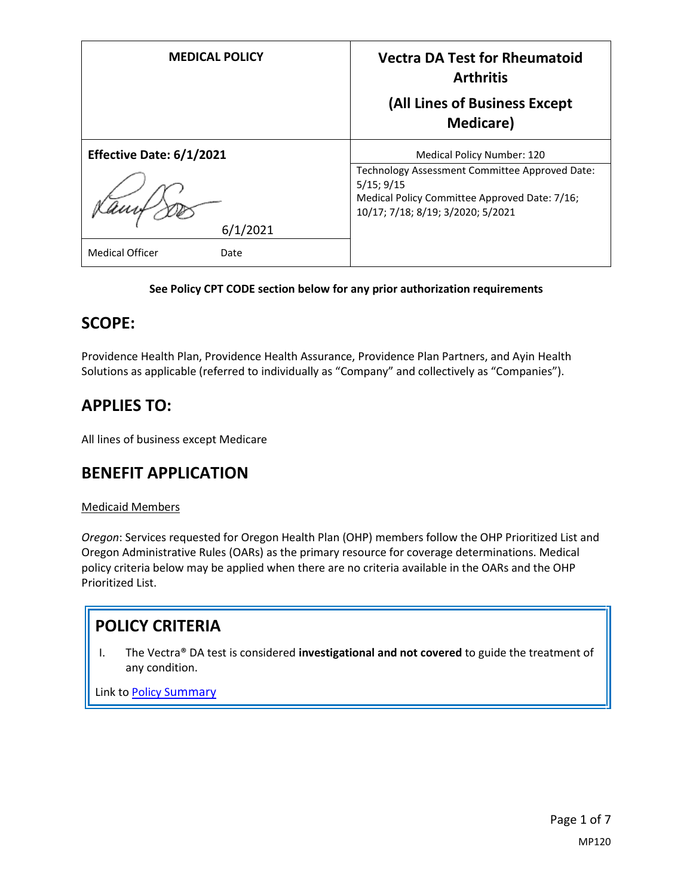| <b>MEDICAL POLICY</b>          | <b>Vectra DA Test for Rheumatoid</b><br><b>Arthritis</b><br>(All Lines of Business Except                                                          |
|--------------------------------|----------------------------------------------------------------------------------------------------------------------------------------------------|
|                                | <b>Medicare</b> )                                                                                                                                  |
| Effective Date: 6/1/2021       | <b>Medical Policy Number: 120</b>                                                                                                                  |
|                                | Technology Assessment Committee Approved Date:<br>5/15; 9/15<br>Medical Policy Committee Approved Date: 7/16;<br>10/17; 7/18; 8/19; 3/2020; 5/2021 |
| 6/1/2021                       |                                                                                                                                                    |
| <b>Medical Officer</b><br>Date |                                                                                                                                                    |

### **See Policy CPT CODE section below for any prior authorization requirements**

### **SCOPE:**

Providence Health Plan, Providence Health Assurance, Providence Plan Partners, and Ayin Health Solutions as applicable (referred to individually as "Company" and collectively as "Companies").

# **APPLIES TO:**

All lines of business except Medicare

## **BENEFIT APPLICATION**

### Medicaid Members

*Oregon*: Services requested for Oregon Health Plan (OHP) members follow the OHP Prioritized List and Oregon Administrative Rules (OARs) as the primary resource for coverage determinations. Medical policy criteria below may be applied when there are no criteria available in the OARs and the OHP Prioritized List.

## **POLICY CRITERIA**

I. The Vectra® DA test is considered **investigational and not covered** to guide the treatment of any condition.

Link to Policy S[ummary](#page-4-0)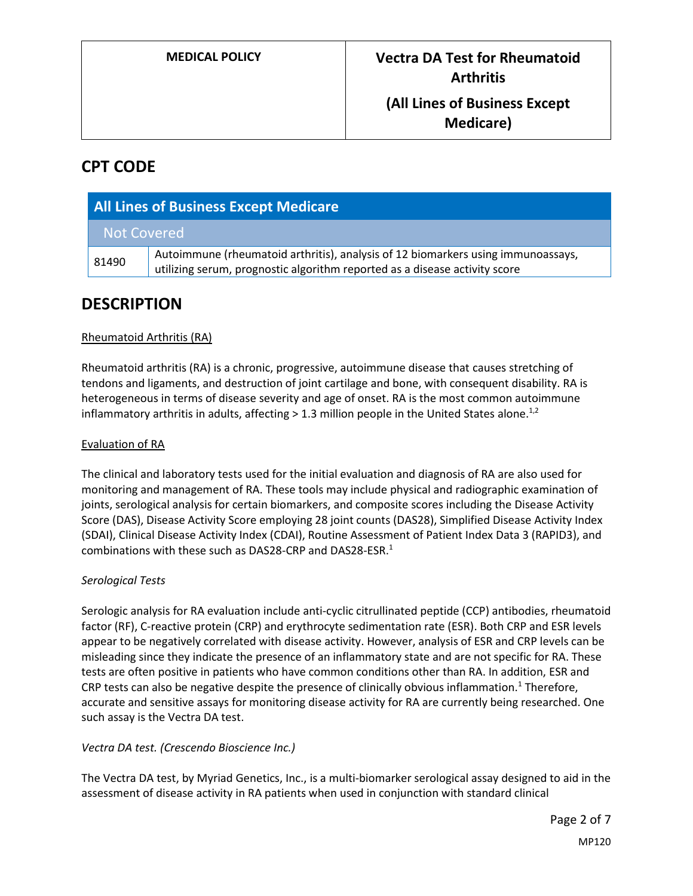**Medicare)**

# **CPT CODE**

| <b>All Lines of Business Except Medicare</b> |                                                                                                                                                                |
|----------------------------------------------|----------------------------------------------------------------------------------------------------------------------------------------------------------------|
| Not Covered                                  |                                                                                                                                                                |
| 81490                                        | Autoimmune (rheumatoid arthritis), analysis of 12 biomarkers using immunoassays,<br>utilizing serum, prognostic algorithm reported as a disease activity score |

# **DESCRIPTION**

### Rheumatoid Arthritis (RA)

Rheumatoid arthritis (RA) is a chronic, progressive, autoimmune disease that causes stretching of tendons and ligaments, and destruction of joint cartilage and bone, with consequent disability. RA is heterogeneous in terms of disease severity and age of onset. RA is the most common autoimmune inflammatory arthritis in adults, affecting > 1.3 million people in the United States alone.<sup>1,2</sup>

### Evaluation of RA

The clinical and laboratory tests used for the initial evaluation and diagnosis of RA are also used for monitoring and management of RA. These tools may include physical and radiographic examination of joints, serological analysis for certain biomarkers, and composite scores including the Disease Activity Score (DAS), Disease Activity Score employing 28 joint counts (DAS28), Simplified Disease Activity Index (SDAI), Clinical Disease Activity Index (CDAI), Routine Assessment of Patient Index Data 3 (RAPID3), and combinations with these such as DAS28-CRP and DAS28-ESR.<sup>1</sup>

### *Serological Tests*

Serologic analysis for RA evaluation include anti-cyclic citrullinated peptide (CCP) antibodies, rheumatoid factor (RF), C-reactive protein (CRP) and erythrocyte sedimentation rate (ESR). Both CRP and ESR levels appear to be negatively correlated with disease activity. However, analysis of ESR and CRP levels can be misleading since they indicate the presence of an inflammatory state and are not specific for RA. These tests are often positive in patients who have common conditions other than RA. In addition, ESR and CRP tests can also be negative despite the presence of clinically obvious inflammation.<sup>1</sup> Therefore, accurate and sensitive assays for monitoring disease activity for RA are currently being researched. One such assay is the Vectra DA test.

### *Vectra DA test. (Crescendo Bioscience Inc.)*

The Vectra DA test, by Myriad Genetics, Inc., is a multi-biomarker serological assay designed to aid in the assessment of disease activity in RA patients when used in conjunction with standard clinical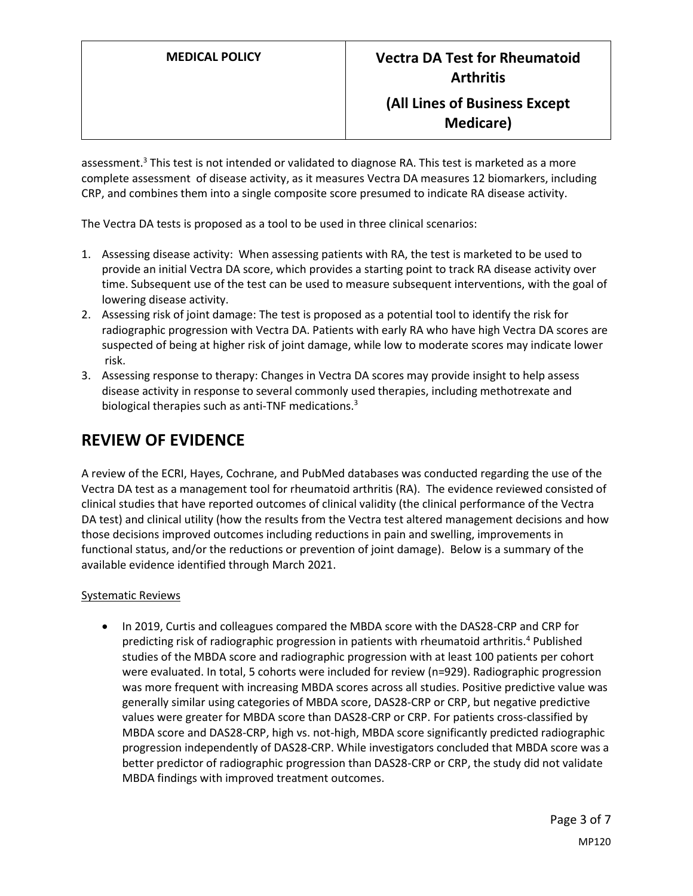## **(All Lines of Business Except Medicare)**

assessment.<sup>3</sup> This test is not intended or validated to diagnose RA. This test is marketed as a more complete assessment of disease activity, as it measures Vectra DA measures 12 biomarkers, including CRP, and combines them into a single composite score presumed to indicate RA disease activity.

The Vectra DA tests is proposed as a tool to be used in three clinical scenarios:

- 1. Assessing disease activity: When assessing patients with RA, the test is marketed to be used to provide an initial Vectra DA score, which provides a starting point to track RA disease activity over time. Subsequent use of the test can be used to measure subsequent interventions, with the goal of lowering disease activity.
- 2. Assessing risk of joint damage: The test is proposed as a potential tool to identify the risk for radiographic progression with Vectra DA. Patients with early RA who have high Vectra DA scores are suspected of being at higher risk of joint damage, while low to moderate scores may indicate lower risk.
- 3. Assessing response to therapy: Changes in Vectra DA scores may provide insight to help assess disease activity in response to several commonly used therapies, including methotrexate and biological therapies such as anti-TNF medications. $3$

# **REVIEW OF EVIDENCE**

A review of the ECRI, Hayes, Cochrane, and PubMed databases was conducted regarding the use of the Vectra DA test as a management tool for rheumatoid arthritis (RA). The evidence reviewed consisted of clinical studies that have reported outcomes of clinical validity (the clinical performance of the Vectra DA test) and clinical utility (how the results from the Vectra test altered management decisions and how those decisions improved outcomes including reductions in pain and swelling, improvements in functional status, and/or the reductions or prevention of joint damage). Below is a summary of the available evidence identified through March 2021.

### Systematic Reviews

• In 2019, Curtis and colleagues compared the MBDA score with the DAS28-CRP and CRP for predicting risk of radiographic progression in patients with rheumatoid arthritis.<sup>4</sup> Published studies of the MBDA score and radiographic progression with at least 100 patients per cohort were evaluated. In total, 5 cohorts were included for review (n=929). Radiographic progression was more frequent with increasing MBDA scores across all studies. Positive predictive value was generally similar using categories of MBDA score, DAS28-CRP or CRP, but negative predictive values were greater for MBDA score than DAS28-CRP or CRP. For patients cross-classified by MBDA score and DAS28-CRP, high vs. not-high, MBDA score significantly predicted radiographic progression independently of DAS28-CRP. While investigators concluded that MBDA score was a better predictor of radiographic progression than DAS28-CRP or CRP, the study did not validate MBDA findings with improved treatment outcomes.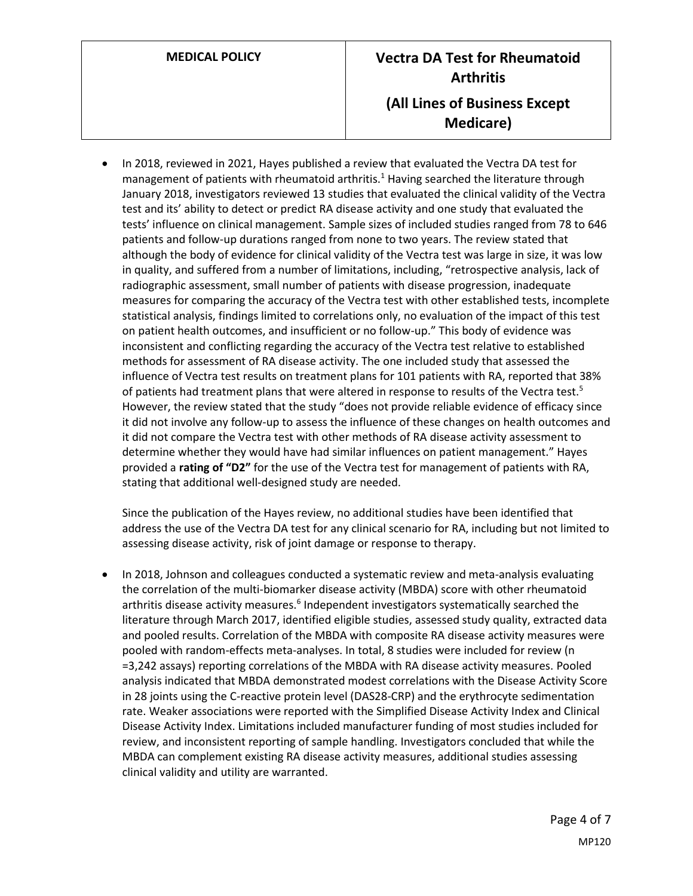In 2018, reviewed in 2021, Hayes published a review that evaluated the Vectra DA test for management of patients with rheumatoid arthritis.<sup>1</sup> Having searched the literature through January 2018, investigators reviewed 13 studies that evaluated the clinical validity of the Vectra test and its' ability to detect or predict RA disease activity and one study that evaluated the tests' influence on clinical management. Sample sizes of included studies ranged from 78 to 646 patients and follow-up durations ranged from none to two years. The review stated that although the body of evidence for clinical validity of the Vectra test was large in size, it was low in quality, and suffered from a number of limitations, including, "retrospective analysis, lack of radiographic assessment, small number of patients with disease progression, inadequate measures for comparing the accuracy of the Vectra test with other established tests, incomplete statistical analysis, findings limited to correlations only, no evaluation of the impact of this test on patient health outcomes, and insufficient or no follow-up." This body of evidence was inconsistent and conflicting regarding the accuracy of the Vectra test relative to established methods for assessment of RA disease activity. The one included study that assessed the influence of Vectra test results on treatment plans for 101 patients with RA, reported that 38% of patients had treatment plans that were altered in response to results of the Vectra test.<sup>5</sup> However, the review stated that the study "does not provide reliable evidence of efficacy since it did not involve any follow-up to assess the influence of these changes on health outcomes and it did not compare the Vectra test with other methods of RA disease activity assessment to determine whether they would have had similar influences on patient management." Hayes provided a **rating of "D2"** for the use of the Vectra test for management of patients with RA, stating that additional well-designed study are needed.

Since the publication of the Hayes review, no additional studies have been identified that address the use of the Vectra DA test for any clinical scenario for RA, including but not limited to assessing disease activity, risk of joint damage or response to therapy.

 In 2018, Johnson and colleagues conducted a systematic review and meta-analysis evaluating the correlation of the multi-biomarker disease activity (MBDA) score with other rheumatoid arthritis disease activity measures.<sup>6</sup> Independent investigators systematically searched the literature through March 2017, identified eligible studies, assessed study quality, extracted data and pooled results. Correlation of the MBDA with composite RA disease activity measures were pooled with random-effects meta-analyses. In total, 8 studies were included for review (n =3,242 assays) reporting correlations of the MBDA with RA disease activity measures. Pooled analysis indicated that MBDA demonstrated modest correlations with the Disease Activity Score in 28 joints using the C-reactive protein level (DAS28-CRP) and the erythrocyte sedimentation rate. Weaker associations were reported with the Simplified Disease Activity Index and Clinical Disease Activity Index. Limitations included manufacturer funding of most studies included for review, and inconsistent reporting of sample handling. Investigators concluded that while the MBDA can complement existing RA disease activity measures, additional studies assessing clinical validity and utility are warranted.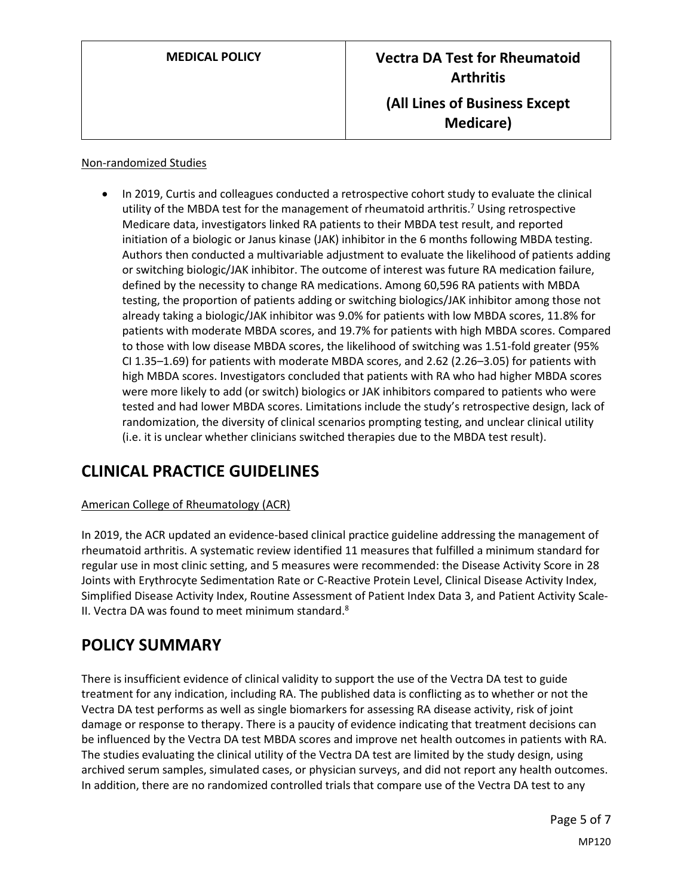#### Non-randomized Studies

 In 2019, Curtis and colleagues conducted a retrospective cohort study to evaluate the clinical utility of the MBDA test for the management of rheumatoid arthritis.<sup>7</sup> Using retrospective Medicare data, investigators linked RA patients to their MBDA test result, and reported initiation of a biologic or Janus kinase (JAK) inhibitor in the 6 months following MBDA testing. Authors then conducted a multivariable adjustment to evaluate the likelihood of patients adding or switching biologic/JAK inhibitor. The outcome of interest was future RA medication failure, defined by the necessity to change RA medications. Among 60,596 RA patients with MBDA testing, the proportion of patients adding or switching biologics/JAK inhibitor among those not already taking a biologic/JAK inhibitor was 9.0% for patients with low MBDA scores, 11.8% for patients with moderate MBDA scores, and 19.7% for patients with high MBDA scores. Compared to those with low disease MBDA scores, the likelihood of switching was 1.51-fold greater (95% CI 1.35–1.69) for patients with moderate MBDA scores, and 2.62 (2.26–3.05) for patients with high MBDA scores. Investigators concluded that patients with RA who had higher MBDA scores were more likely to add (or switch) biologics or JAK inhibitors compared to patients who were tested and had lower MBDA scores. Limitations include the study's retrospective design, lack of randomization, the diversity of clinical scenarios prompting testing, and unclear clinical utility (i.e. it is unclear whether clinicians switched therapies due to the MBDA test result).

# **CLINICAL PRACTICE GUIDELINES**

### American College of Rheumatology (ACR)

In 2019, the ACR updated an evidence-based clinical practice guideline addressing the management of rheumatoid arthritis. A systematic review identified 11 measures that fulfilled a minimum standard for regular use in most clinic setting, and 5 measures were recommended: the Disease Activity Score in 28 Joints with Erythrocyte Sedimentation Rate or C‐Reactive Protein Level, Clinical Disease Activity Index, Simplified Disease Activity Index, Routine Assessment of Patient Index Data 3, and Patient Activity Scale‐ II. Vectra DA was found to meet minimum standard.<sup>8</sup>

### <span id="page-4-0"></span>**POLICY SUMMARY**

There is insufficient evidence of clinical validity to support the use of the Vectra DA test to guide treatment for any indication, including RA. The published data is conflicting as to whether or not the Vectra DA test performs as well as single biomarkers for assessing RA disease activity, risk of joint damage or response to therapy. There is a paucity of evidence indicating that treatment decisions can be influenced by the Vectra DA test MBDA scores and improve net health outcomes in patients with RA. The studies evaluating the clinical utility of the Vectra DA test are limited by the study design, using archived serum samples, simulated cases, or physician surveys, and did not report any health outcomes. In addition, there are no randomized controlled trials that compare use of the Vectra DA test to any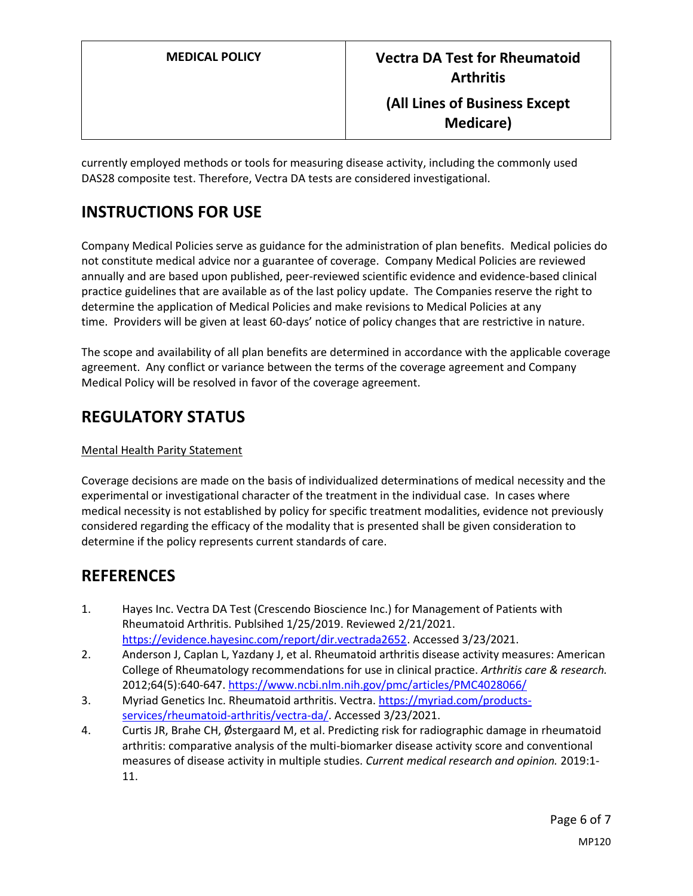**Medicare)**

currently employed methods or tools for measuring disease activity, including the commonly used DAS28 composite test. Therefore, Vectra DA tests are considered investigational.

# **INSTRUCTIONS FOR USE**

Company Medical Policies serve as guidance for the administration of plan benefits. Medical policies do not constitute medical advice nor a guarantee of coverage. Company Medical Policies are reviewed annually and are based upon published, peer-reviewed scientific evidence and evidence-based clinical practice guidelines that are available as of the last policy update. The Companies reserve the right to determine the application of Medical Policies and make revisions to Medical Policies at any time. Providers will be given at least 60-days' notice of policy changes that are restrictive in nature.

The scope and availability of all plan benefits are determined in accordance with the applicable coverage agreement. Any conflict or variance between the terms of the coverage agreement and Company Medical Policy will be resolved in favor of the coverage agreement.

## **REGULATORY STATUS**

### Mental Health Parity Statement

Coverage decisions are made on the basis of individualized determinations of medical necessity and the experimental or investigational character of the treatment in the individual case. In cases where medical necessity is not established by policy for specific treatment modalities, evidence not previously considered regarding the efficacy of the modality that is presented shall be given consideration to determine if the policy represents current standards of care.

## **REFERENCES**

- 1. Hayes Inc. Vectra DA Test (Crescendo Bioscience Inc.) for Management of Patients with Rheumatoid Arthritis. Publsihed 1/25/2019. Reviewed 2/21/2021. [https://evidence.hayesinc.com/report/dir.vectrada2652.](https://evidence.hayesinc.com/report/dir.vectrada2652) Accessed 3/23/2021.
- 2. Anderson J, Caplan L, Yazdany J, et al. Rheumatoid arthritis disease activity measures: American College of Rheumatology recommendations for use in clinical practice. *Arthritis care & research.*  2012;64(5):640-647[. https://www.ncbi.nlm.nih.gov/pmc/articles/PMC4028066/](https://www.ncbi.nlm.nih.gov/pmc/articles/PMC4028066/)
- 3. Myriad Genetics Inc. Rheumatoid arthritis. Vectra[. https://myriad.com/products](https://myriad.com/products-services/rheumatoid-arthritis/vectra-da/)[services/rheumatoid-arthritis/vectra-da/.](https://myriad.com/products-services/rheumatoid-arthritis/vectra-da/) Accessed 3/23/2021.
- 4. Curtis JR, Brahe CH, Østergaard M, et al. Predicting risk for radiographic damage in rheumatoid arthritis: comparative analysis of the multi-biomarker disease activity score and conventional measures of disease activity in multiple studies. *Current medical research and opinion.* 2019:1- 11.